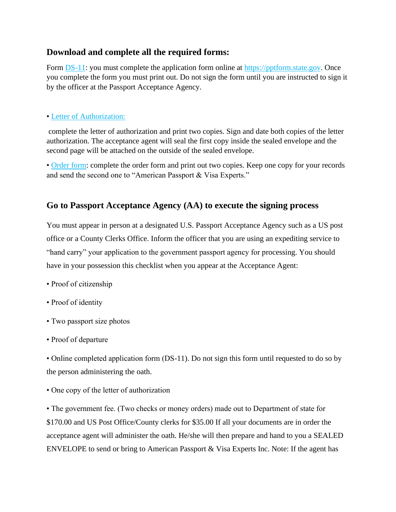### **Download and complete all the required forms:**

Form [DS-11:](https://pptform.state.gov/?AspxAutoDetectCookieSupport=1) you must complete the application form online at https://pptform.state.gov. Once you complete the form you must print out. Do not sign the form until you are instructed to sign it by the officer at the Passport Acceptance Agency.

#### • Letter of [Authorization:](https://drive.google.com/open?id=1DP85ZQSC2aAb6PdCPlz77Xjn7rp44YBU)

complete the letter of authorization and print two copies. Sign and date both copies of the letter authorization. The acceptance agent will seal the first copy inside the sealed envelope and the second page will be attached on the outside of the sealed envelope.

• [Order form:](https://drive.google.com/open?id=1ePZLS6oKc-cLC3QSbIzj02_ySV2gHv_y) complete the order form and print out two copies. Keep one copy for your records and send the second one to "American Passport & Visa Experts."

## **Go to Passport Acceptance Agency (AA) to execute the signing process**

You must appear in person at a designated U.S. Passport Acceptance Agency such as a US post office or a County Clerks Office. Inform the officer that you are using an expediting service to "hand carry" your application to the government passport agency for processing. You should have in your possession this checklist when you appear at the Acceptance Agent:

- Proof of citizenship
- Proof of identity
- Two passport size photos
- Proof of departure

• Online completed application form (DS-11). Do not sign this form until requested to do so by the person administering the oath.

• One copy of the letter of authorization

• The government fee. (Two checks or money orders) made out to Department of state for \$170.00 and US Post Office/County clerks for \$35.00 If all your documents are in order the acceptance agent will administer the oath. He/she will then prepare and hand to you a SEALED ENVELOPE to send or bring to American Passport & Visa Experts Inc. Note: If the agent has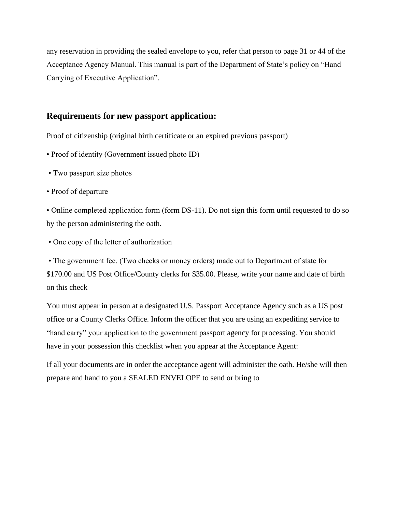any reservation in providing the sealed envelope to you, refer that person to page 31 or 44 of the Acceptance Agency Manual. This manual is part of the Department of State's policy on "Hand Carrying of Executive Application".

### **Requirements for new passport application:**

Proof of citizenship (original birth certificate or an expired previous passport)

- Proof of identity (Government issued photo ID)
- Two passport size photos
- Proof of departure

• Online completed application form (form DS-11). Do not sign this form until requested to do so by the person administering the oath.

• One copy of the letter of authorization

• The government fee. (Two checks or money orders) made out to Department of state for \$170.00 and US Post Office/County clerks for \$35.00. Please, write your name and date of birth on this check

You must appear in person at a designated U.S. Passport Acceptance Agency such as a US post office or a County Clerks Office. Inform the officer that you are using an expediting service to "hand carry" your application to the government passport agency for processing. You should have in your possession this checklist when you appear at the Acceptance Agent:

If all your documents are in order the acceptance agent will administer the oath. He/she will then prepare and hand to you a SEALED ENVELOPE to send or bring to